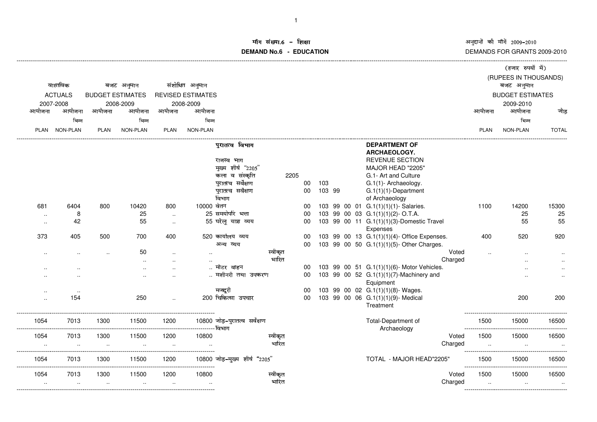अनुदानों की माँगें 2009–2010<br>DEMANDS FOR GRANTS 2009-2010

## ॉग संख्या.6 -<br>WDMs C **DEMAND No.6 - EDUCATIONराक्षा संस्कृतिका संस्कृतिका संस्कृतिका संस्कृतिका संस्कृतिका संस्कृतिका संस्कृतिका संस्कृतिका संस्कृतिका संस्**

|                                         |                 |                                       |           |             |                          |                               |         |      |        | (हजार रुपयों में) |  |                                                       |                          |                         |                       |              |
|-----------------------------------------|-----------------|---------------------------------------|-----------|-------------|--------------------------|-------------------------------|---------|------|--------|-------------------|--|-------------------------------------------------------|--------------------------|-------------------------|-----------------------|--------------|
|                                         |                 |                                       |           |             |                          |                               |         |      |        |                   |  |                                                       |                          |                         | (RUPEES IN THOUSANDS) |              |
| वास्तविक<br><b>ACTUALS</b><br>2007-2008 |                 | बजट अनुमान<br><b>BUDGET ESTIMATES</b> |           |             | संशोधित अनुमान           |                               |         |      |        |                   |  |                                                       |                          |                         | बजट अनुमान            |              |
|                                         |                 |                                       |           |             | <b>REVISED ESTIMATES</b> |                               |         |      |        |                   |  |                                                       |                          | <b>BUDGET ESTIMATES</b> |                       |              |
|                                         |                 |                                       | 2008-2009 |             | 2008-2009                |                               |         |      |        |                   |  |                                                       |                          |                         | 2009-2010             |              |
| आयोजना                                  | आयोजना          | आयोजना                                | आयोजना    | आयोजना      | आयोजना                   |                               |         |      |        |                   |  |                                                       |                          | आयोजना                  | आयोजना                | जोड          |
|                                         | भिन्न           |                                       | भिन्न     |             | भिन्न                    |                               |         |      |        |                   |  |                                                       |                          |                         | भिन्न                 |              |
| <b>PLAN</b>                             | <b>NON-PLAN</b> | <b>PLAN</b>                           | NON-PLAN  | <b>PLAN</b> | NON-PLAN                 |                               |         |      |        |                   |  |                                                       |                          | PLAN                    | NON-PLAN              | <b>TOTAL</b> |
|                                         |                 |                                       |           |             |                          | पुरातत्व विभाग                |         |      |        |                   |  | <b>DEPARTMENT OF</b>                                  |                          |                         |                       |              |
|                                         |                 |                                       |           |             |                          |                               |         |      |        |                   |  | <b>ARCHAEOLOGY.</b>                                   |                          |                         |                       |              |
|                                         |                 |                                       |           |             |                          | राजस्व भाग                    |         |      |        |                   |  | <b>REVENUE SECTION</b>                                |                          |                         |                       |              |
|                                         |                 |                                       |           |             |                          | मुख्य शीर्ष "2205"            |         |      |        |                   |  | MAJOR HEAD "2205"                                     |                          |                         |                       |              |
|                                         |                 |                                       |           |             |                          | कला व संस्कृति                |         | 2205 |        |                   |  | G.1- Art and Culture                                  |                          |                         |                       |              |
|                                         |                 |                                       |           |             |                          | पुरातत्व सर्वेक्षण            |         | 00   | 103    |                   |  | G.1(1)- Archaeology.                                  |                          |                         |                       |              |
|                                         |                 |                                       |           |             |                          | पुरातत्व सर्वेक्षण            |         | 00   | 103 99 |                   |  | $G.1(1)(1)$ -Department                               |                          |                         |                       |              |
|                                         |                 |                                       |           |             |                          | विभाग                         |         |      |        |                   |  | of Archaeology                                        |                          |                         |                       |              |
| 681                                     | 6404            | 800                                   | 10420     | 800         | 10000 वेतन               |                               |         | 00   |        |                   |  | 103 99 00 01 G.1(1)(1)(1)- Salaries.                  |                          | 1100                    | 14200                 | 15300        |
| $\sim$                                  | 8               |                                       | 25        | $\sim$      |                          | 25 समयोपरि भत्ता              |         | 00   |        |                   |  | 103 99 00 03 G.1(1)(1)(2)-O.T.A.                      |                          |                         | 25                    | 25           |
| $\sim$                                  | 42              |                                       | 55        | $\sim$      |                          | 55 घरेलू यात्रा व्यय          |         | 00   |        |                   |  | 103 99 00 11 G.1(1)(1)(3)-Domestic Travel<br>Expenses |                          |                         | 55                    | 55           |
| 373                                     | 405             | 500                                   | 700       | 400         |                          | 520 कार्यालय व्यय             |         | 00   |        |                   |  | 103 99 00 13 G.1(1)(1)(4)- Office Expenses.           |                          | 400                     | 520                   | 920          |
|                                         |                 |                                       |           |             |                          | अन्य व्यय                     |         | 00   |        |                   |  | 103 99 00 50 G.1(1)(1)(5)- Other Charges.             |                          |                         |                       |              |
|                                         |                 |                                       | 50        | $\ddotsc$   |                          |                               | स्वीकृत |      |        |                   |  |                                                       | Voted                    |                         |                       |              |
|                                         |                 |                                       |           |             |                          |                               | भारित   |      |        |                   |  | Charged                                               |                          |                         |                       |              |
|                                         |                 |                                       |           |             |                          | मोटर वाहन                     |         | 00   |        |                   |  | 103 99 00 51 G.1(1)(1)(6)- Motor Vehicles.            |                          |                         |                       |              |
|                                         |                 |                                       |           |             |                          | मशीनरी तथा उपकरण              |         | 00   |        |                   |  | 103 99 00 52 G.1(1)(1)(7)-Machinery and               |                          |                         |                       |              |
|                                         |                 |                                       |           |             |                          |                               |         |      |        |                   |  | Equipment                                             |                          |                         |                       |              |
|                                         | $\cdot$ .       |                                       |           |             |                          | मजदूरी                        |         | 00   |        |                   |  | 103 99 00 02 G.1(1)(1)(8)- Wages.                     |                          |                         |                       |              |
| $\ddot{\phantom{a}}$                    | 154             |                                       | 250       |             |                          | 200 चिकित्सा उपचार            |         | 00   |        |                   |  | 103 99 00 06 G.1(1)(1)(9)- Medical<br>Treatment       |                          |                         | 200                   | 200          |
| 1054                                    | 7013            | 1300                                  | 11500     | 1200        | --------- विभाग          | 10800 जोड़-पुरातत्व सर्वेक्षण |         |      |        |                   |  | Total-Department of<br>Archaeology                    |                          | 1500                    | 15000                 | 16500        |
| 1054                                    | 7013            | 1300                                  | 11500     | 1200        | 10800                    |                               | स्वीकृत |      |        |                   |  |                                                       | Voted                    | 1500                    | 15000                 | 16500        |
|                                         |                 | $\ddot{\phantom{a}}$                  |           |             |                          |                               | भारित   |      |        |                   |  | Charged                                               |                          |                         |                       |              |
|                                         |                 |                                       |           |             |                          |                               |         |      |        |                   |  |                                                       |                          |                         |                       |              |
| 1054                                    | 7013            | 1300                                  | 11500     | 1200        |                          | 10800 जोड़-मुख्य शीर्ष "2205" |         |      |        |                   |  | TOTAL - MAJOR HEAD"2205"                              | ------------------------ | 1500                    | 15000                 | 16500        |
| 1054                                    | 7013            | 1300                                  | 11500     | 1200        | 10800                    |                               | स्वीकृत |      |        |                   |  |                                                       | Voted                    | 1500                    | 15000                 | 16500        |
| $\cdot$ .                               | $\cdot$ .       | $\ddotsc$                             | $\cdot$ . | $\ldots$    |                          |                               | भारित   |      |        |                   |  | Charged                                               |                          | $\ddotsc$               | $\ddotsc$             | $\ddotsc$    |
|                                         |                 |                                       |           |             |                          |                               |         |      |        |                   |  |                                                       |                          |                         |                       |              |

-------------------------------------------------------------------------------------------------------------------------------------------------------------------------------------------------------------------------------------------------------------------------------------